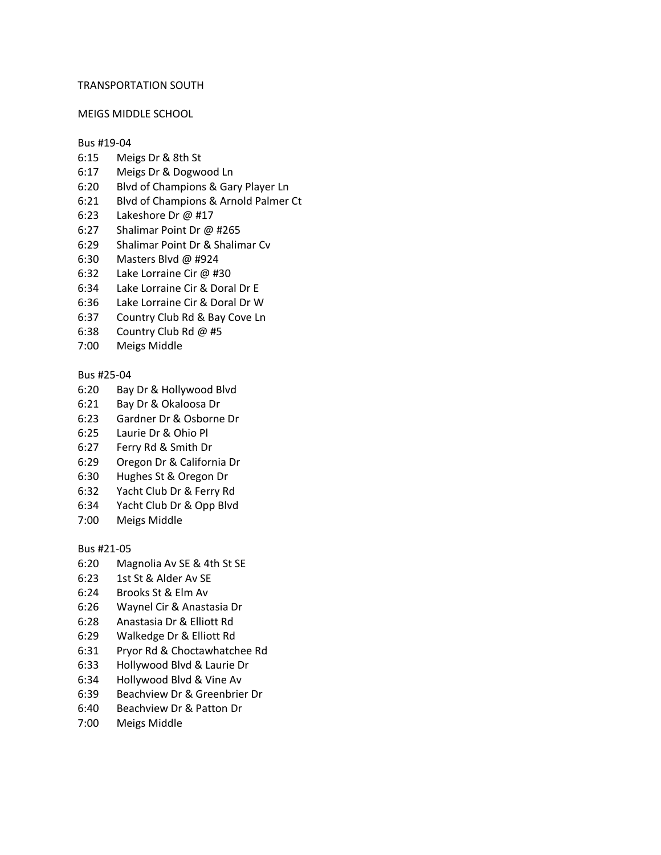### TRANSPORTATION SOUTH

#### MEIGS MIDDLE SCHOOL

#### Bus #19-04

- 6:15 Meigs Dr & 8th St
- 6:17 Meigs Dr & Dogwood Ln
- 6:20 Blvd of Champions & Gary Player Ln
- 6:21 Blvd of Champions & Arnold Palmer Ct
- 6:23 Lakeshore Dr @ #17
- 6:27 Shalimar Point Dr @ #265
- 6:29 Shalimar Point Dr & Shalimar Cv
- 6:30 Masters Blvd @ #924
- 6:32 Lake Lorraine Cir @ #30
- 6:34 Lake Lorraine Cir & Doral Dr E
- 6:36 Lake Lorraine Cir & Doral Dr W
- 6:37 Country Club Rd & Bay Cove Ln
- 6:38 Country Club Rd @ #5
- 7:00 Meigs Middle

## Bus #25-04

- 6:20 Bay Dr & Hollywood Blvd
- 6:21 Bay Dr & Okaloosa Dr
- 6:23 Gardner Dr & Osborne Dr
- 6:25 Laurie Dr & Ohio Pl
- 6:27 Ferry Rd & Smith Dr
- 6:29 Oregon Dr & California Dr
- 6:30 Hughes St & Oregon Dr
- 6:32 Yacht Club Dr & Ferry Rd
- 6:34 Yacht Club Dr & Opp Blvd
- 7:00 Meigs Middle

Bus #21-05

- 6:20 Magnolia Av SE & 4th St SE
- 6:23 1st St & Alder Av SE
- 6:24 Brooks St & Elm Av
- 6:26 Waynel Cir & Anastasia Dr
- 6:28 Anastasia Dr & Elliott Rd
- 6:29 Walkedge Dr & Elliott Rd
- 6:31 Pryor Rd & Choctawhatchee Rd
- 6:33 Hollywood Blvd & Laurie Dr
- 6:34 Hollywood Blvd & Vine Av
- 6:39 Beachview Dr & Greenbrier Dr
- 6:40 Beachview Dr & Patton Dr
- 7:00 Meigs Middle